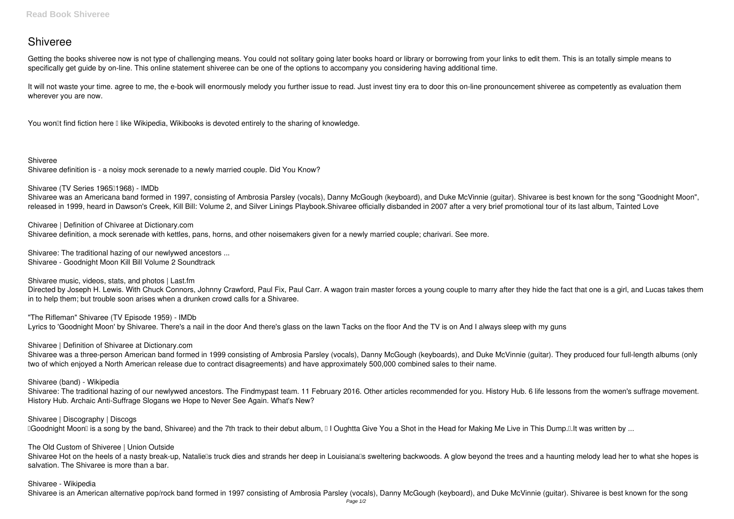# **Shiveree**

Getting the books **shiveree** now is not type of challenging means. You could not solitary going later books hoard or library or borrowing from your links to edit them. This is an totally simple means to specifically get guide by on-line. This online statement shiveree can be one of the options to accompany you considering having additional time.

It will not waste your time. agree to me, the e-book will enormously melody you further issue to read. Just invest tiny era to door this on-line pronouncement **shiveree** as competently as evaluation them wherever you are now.

You won<sup>''</sup> find fiction here I like Wikipedia, Wikibooks is devoted entirely to the sharing of knowledge.

**Shiveree**

Shivaree definition is - a noisy mock serenade to a newly married couple. Did You Know?

Shivaree (TV Series 1965<sup>[1968]</sup> - IMDb

Directed by Joseph H. Lewis. With Chuck Connors, Johnny Crawford, Paul Fix, Paul Carr. A wagon train master forces a young couple to marry after they hide the fact that one is a girl, and Lucas takes them in to help them; but trouble soon arises when a drunken crowd calls for a Shivaree.

Shivaree was an Americana band formed in 1997, consisting of Ambrosia Parsley (vocals), Danny McGough (keyboard), and Duke McVinnie (guitar). Shivaree is best known for the song "Goodnight Moon", released in 1999, heard in Dawson's Creek, Kill Bill: Volume 2, and Silver Linings Playbook.Shivaree officially disbanded in 2007 after a very brief promotional tour of its last album, Tainted Love

**Chivaree | Definition of Chivaree at Dictionary.com**

Shivaree definition, a mock serenade with kettles, pans, horns, and other noisemakers given for a newly married couple; charivari. See more.

**Shivaree: The traditional hazing of our newlywed ancestors ...** Shivaree - Goodnight Moon Kill Bill Volume 2 Soundtrack

**Shivaree music, videos, stats, and photos | Last.fm**

Shivaree Hot on the heels of a nasty break-up, Nataliells truck dies and strands her deep in Louisianalls sweltering backwoods. A glow beyond the trees and a haunting melody lead her to what she hopes is salvation. The Shivaree is more than a bar.

**"The Rifleman" Shivaree (TV Episode 1959) - IMDb** Lyrics to 'Goodnight Moon' by Shivaree. There's a nail in the door And there's glass on the lawn Tacks on the floor And the TV is on And I always sleep with my guns

**Shivaree | Definition of Shivaree at Dictionary.com**

Shivaree was a three-person American band formed in 1999 consisting of Ambrosia Parsley (vocals), Danny McGough (keyboards), and Duke McVinnie (guitar). They produced four full-length albums (only two of which enjoyed a North American release due to contract disagreements) and have approximately 500,000 combined sales to their name.

**Shivaree (band) - Wikipedia**

Shivaree: The traditional hazing of our newlywed ancestors. The Findmypast team. 11 February 2016. Other articles recommended for you. History Hub. 6 life lessons from the women's suffrage movement. History Hub. Archaic Anti-Suffrage Slogans we Hope to Never See Again. What's New?

**Shivaree | Discography | Discogs**

Doodnight Moon<sup>®</sup> is a song by the band, Shivaree) and the 7th track to their debut album, <sup>□</sup> I Oughtta Give You a Shot in the Head for Making Me Live in This Dump.<sup>[1</sup>. It was written by ...

**The Old Custom of Shiveree | Union Outside**

**Shivaree - Wikipedia**

Shivaree is an American alternative pop/rock band formed in 1997 consisting of Ambrosia Parsley (vocals), Danny McGough (keyboard), and Duke McVinnie (guitar). Shivaree is best known for the song